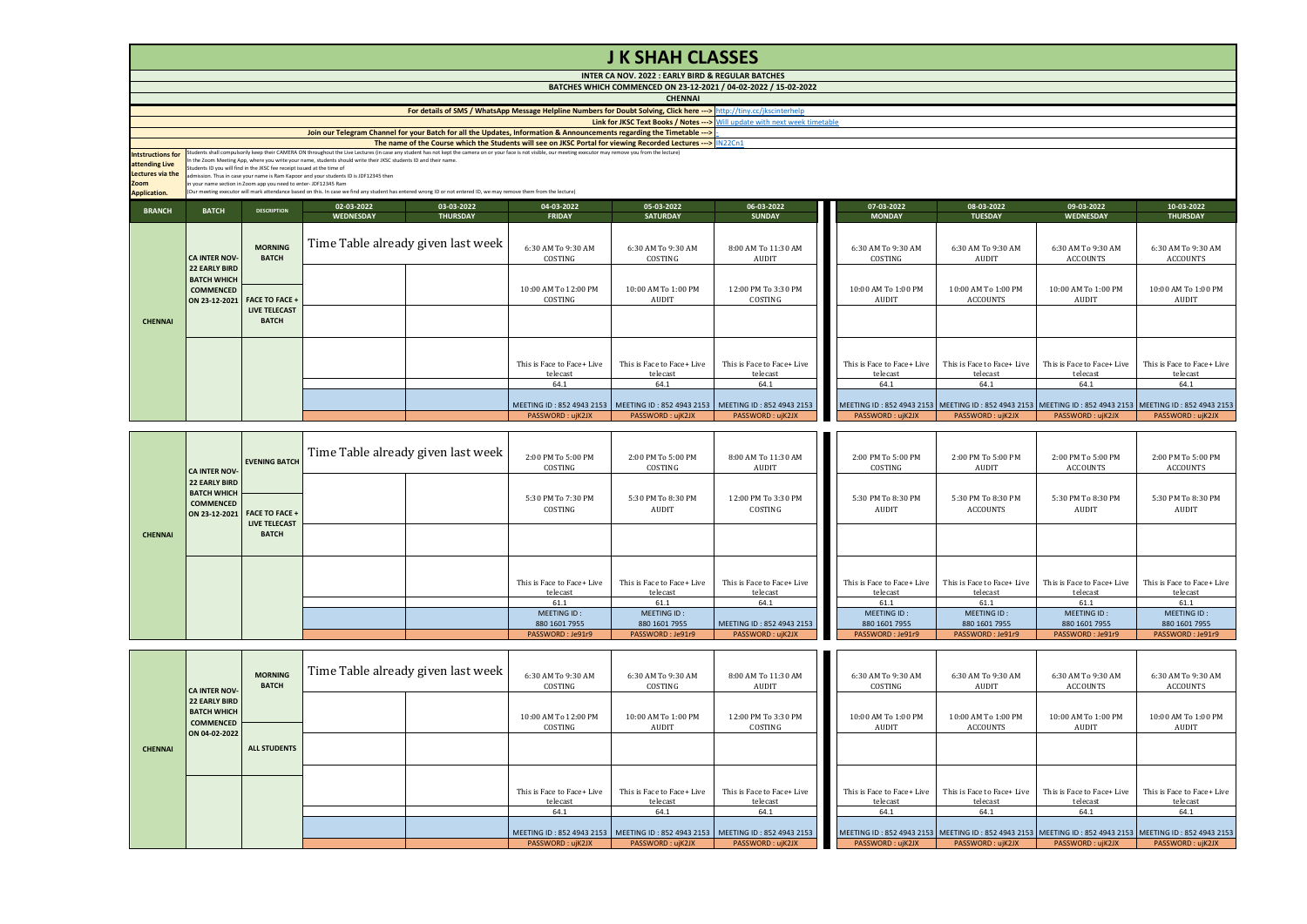|                                                                                        | <b>J K SHAH CLASSES</b>                                                                                                                                                                                                                                                                                                            |                                                                                                                                            |                                                                                                                                                                                                           |                                                                                                                                                                    |                                        |                                                                                   |                                                                                      |  |                                        |                                        |                                                                                                               |                                        |  |  |
|----------------------------------------------------------------------------------------|------------------------------------------------------------------------------------------------------------------------------------------------------------------------------------------------------------------------------------------------------------------------------------------------------------------------------------|--------------------------------------------------------------------------------------------------------------------------------------------|-----------------------------------------------------------------------------------------------------------------------------------------------------------------------------------------------------------|--------------------------------------------------------------------------------------------------------------------------------------------------------------------|----------------------------------------|-----------------------------------------------------------------------------------|--------------------------------------------------------------------------------------|--|----------------------------------------|----------------------------------------|---------------------------------------------------------------------------------------------------------------|----------------------------------------|--|--|
|                                                                                        | INTER CA NOV. 2022 : EARLY BIRD & REGULAR BATCHES                                                                                                                                                                                                                                                                                  |                                                                                                                                            |                                                                                                                                                                                                           |                                                                                                                                                                    |                                        |                                                                                   |                                                                                      |  |                                        |                                        |                                                                                                               |                                        |  |  |
|                                                                                        | BATCHES WHICH COMMENCED ON 23-12-2021 / 04-02-2022 / 15-02-2022<br><b>CHENNAI</b>                                                                                                                                                                                                                                                  |                                                                                                                                            |                                                                                                                                                                                                           |                                                                                                                                                                    |                                        |                                                                                   |                                                                                      |  |                                        |                                        |                                                                                                               |                                        |  |  |
|                                                                                        |                                                                                                                                                                                                                                                                                                                                    |                                                                                                                                            |                                                                                                                                                                                                           |                                                                                                                                                                    |                                        |                                                                                   |                                                                                      |  |                                        |                                        |                                                                                                               |                                        |  |  |
|                                                                                        |                                                                                                                                                                                                                                                                                                                                    |                                                                                                                                            |                                                                                                                                                                                                           | For details of SMS / WhatsApp Message Helpline Numbers for Doubt Solving, Click here ---> http://tiny.cc/jkscinterhelp                                             |                                        |                                                                                   |                                                                                      |  |                                        |                                        |                                                                                                               |                                        |  |  |
|                                                                                        |                                                                                                                                                                                                                                                                                                                                    |                                                                                                                                            |                                                                                                                                                                                                           |                                                                                                                                                                    |                                        |                                                                                   | <b>Link for JKSC Text Books / Notes ---&gt;</b> Will update with next week timetable |  |                                        |                                        |                                                                                                               |                                        |  |  |
|                                                                                        |                                                                                                                                                                                                                                                                                                                                    |                                                                                                                                            |                                                                                                                                                                                                           | Join our Telegram Channel for your Batch for all the Updates, Information & Announcements regarding the Timetable --->                                             |                                        |                                                                                   |                                                                                      |  |                                        |                                        |                                                                                                               |                                        |  |  |
|                                                                                        | The name of the Course which the Students will see on JKSC Portal for viewing Recorded Lectures --->   IN22Cn1<br>Students shall compulsorily keep their CAMERA ON throughout the Live Lectures (in case any student has not kept the camera on or your face is not visible, our meeting executor may remove you from the lecture) |                                                                                                                                            |                                                                                                                                                                                                           |                                                                                                                                                                    |                                        |                                                                                   |                                                                                      |  |                                        |                                        |                                                                                                               |                                        |  |  |
| <b>Intstructions for</b><br>attending Live<br>Lectures via the<br>Zoom<br>Application. |                                                                                                                                                                                                                                                                                                                                    | Students ID you will find in the JKSC fee receipt issued at the time of<br>in your name section in Zoom app you need to enter-JDF12345 Ram | In the Zoom Meeting App, where you write your name, students should write their JKSC students ID and their name.<br>admission. Thus in case your name is Ram Kapoor and your students ID is JDF12345 then | (Our meeting executor will mark attendance based on this. In case we find any student has entered wrong ID or not entered ID, we may remove them from the lecture) |                                        |                                                                                   |                                                                                      |  |                                        |                                        |                                                                                                               |                                        |  |  |
| <b>BRANCH</b>                                                                          | <b>BATCH</b>                                                                                                                                                                                                                                                                                                                       | <b>DESCRIPTION</b>                                                                                                                         | 02-03-2022                                                                                                                                                                                                | 03-03-2022                                                                                                                                                         | 04-03-2022                             | 05-03-2022                                                                        | 06-03-2022                                                                           |  | 07-03-2022                             | 08-03-2022                             | 09-03-2022                                                                                                    | 10-03-2022                             |  |  |
|                                                                                        |                                                                                                                                                                                                                                                                                                                                    |                                                                                                                                            | <b>WEDNESDAY</b>                                                                                                                                                                                          | <b>THURSDAY</b>                                                                                                                                                    | <b>FRIDAY</b>                          | <b>SATURDAY</b>                                                                   | <b>SUNDAY</b>                                                                        |  | <b>MONDAY</b>                          | <b>TUESDAY</b>                         | <b>WEDNESDAY</b>                                                                                              | <b>THURSDAY</b>                        |  |  |
|                                                                                        | CA INTER NOV-<br><b>22 EARLY BIRD</b><br><b>BATCH WHICH</b><br><b>COMMENCED</b><br>ON 23-12-2021 FACE TO FACE +                                                                                                                                                                                                                    | <b>MORNING</b><br><b>BATCH</b>                                                                                                             |                                                                                                                                                                                                           | Time Table already given last week                                                                                                                                 | 6:30 AM To 9:30 AM<br>COSTING          | 6:30 AM To 9:30 AM<br>COSTING                                                     | 8:00 AM To 11:30 AM<br>AUDIT                                                         |  | 6:30 AM To 9:30 AM<br>COSTING          | 6:30 AM To 9:30 AM<br><b>AUDIT</b>     | 6:30 AM To 9:30 AM<br><b>ACCOUNTS</b>                                                                         | 6:30 AM To 9:30 AM<br><b>ACCOUNTS</b>  |  |  |
|                                                                                        |                                                                                                                                                                                                                                                                                                                                    |                                                                                                                                            |                                                                                                                                                                                                           |                                                                                                                                                                    | 10:00 AM To 12:00 PM<br>COSTING        | 10:00 AM To 1:00 PM<br><b>AUDIT</b>                                               | 12:00 PM To 3:30 PM<br>COSTING                                                       |  | 10:00 AM To 1:00 PM<br><b>AUDIT</b>    | 10:00 AM To 1:00 PM<br><b>ACCOUNTS</b> | 10:00 AM To 1:00 PM<br><b>AUDIT</b>                                                                           | 10:00 AM To 1:00 PM<br><b>AUDIT</b>    |  |  |
| <b>CHENNAI</b>                                                                         |                                                                                                                                                                                                                                                                                                                                    | <b>LIVE TELECAST</b><br><b>BATCH</b>                                                                                                       |                                                                                                                                                                                                           |                                                                                                                                                                    |                                        |                                                                                   |                                                                                      |  |                                        |                                        |                                                                                                               |                                        |  |  |
|                                                                                        |                                                                                                                                                                                                                                                                                                                                    |                                                                                                                                            |                                                                                                                                                                                                           |                                                                                                                                                                    | This is Face to Face+ Live<br>telecast | This is Face to Face+ Live<br>telecast                                            | This is Face to Face+ Live<br>telecast                                               |  | This is Face to Face+ Live<br>telecast | This is Face to Face+ Live<br>telecast | This is Face to Face+ Live<br>telecast                                                                        | This is Face to Face+ Live<br>telecast |  |  |
|                                                                                        |                                                                                                                                                                                                                                                                                                                                    |                                                                                                                                            |                                                                                                                                                                                                           |                                                                                                                                                                    | 64.1                                   | 64.1                                                                              | 64.1                                                                                 |  | 64.1                                   | 64.1                                   | 64.1                                                                                                          | 64.1                                   |  |  |
|                                                                                        |                                                                                                                                                                                                                                                                                                                                    |                                                                                                                                            |                                                                                                                                                                                                           |                                                                                                                                                                    |                                        | MEETING ID: 852 4943 2153   MEETING ID: 852 4943 2153   MEETING ID: 852 4943 2153 |                                                                                      |  |                                        |                                        | MEETING ID: 852 4943 2153   MEETING ID: 852 4943 2153   MEETING ID: 852 4943 2153   MEETING ID: 852 4943 2153 |                                        |  |  |
|                                                                                        |                                                                                                                                                                                                                                                                                                                                    |                                                                                                                                            |                                                                                                                                                                                                           |                                                                                                                                                                    | PASSWORD: ujK2JX                       | PASSWORD: ujK2JX                                                                  | PASSWORD: uiK2JX                                                                     |  | PASSWORD: ujK2JX                       | PASSWORD: ujK2JX                       | PASSWORD: uiK2JX                                                                                              | PASSWORD: ujK2JX                       |  |  |

|                | <b>CA INTER NOV-</b><br><b>22 EARLY BIRD</b><br><b>BATCH WHICH</b> | <b>EVENING BATCH</b>                                 | Time Table already given last week | 2:00 PM To 5:00 PM<br>COSTING          | 2:00 PM To 5:00 PM<br>COSTING          | 8:00 AM To 11:30 AM<br>AUDIT           | 2:00 PM To 5:00 PM<br>COSTING          | 2:00 PM To 5:00 PM<br>AUDIT            | 2:00 PM To 5:00 PM<br>ACCOUNTS         | 2:00 PM To 5:00 PM<br>ACCOUNTS         |
|----------------|--------------------------------------------------------------------|------------------------------------------------------|------------------------------------|----------------------------------------|----------------------------------------|----------------------------------------|----------------------------------------|----------------------------------------|----------------------------------------|----------------------------------------|
|                | <b>COMMENCED</b>                                                   | ON 23-12-2021 FACE TO FACE +<br><b>LIVE TELECAST</b> |                                    | 5:30 PM To 7:30 PM<br>COSTING          | 5:30 PM To 8:30 PM<br>AUDIT            | 12:00 PM To 3:30 PM<br>COSTING         | 5:30 PM To 8:30 PM<br>AUDIT            | 5:30 PM To 8:30 PM<br>ACCOUNTS         | 5:30 PM To 8:30 PM<br>AUDIT            | 5:30 PM To 8:30 PM<br>AUDIT            |
| <b>CHENNAI</b> |                                                                    | <b>BATCH</b>                                         |                                    |                                        |                                        |                                        |                                        |                                        |                                        |                                        |
|                |                                                                    |                                                      |                                    | This is Face to Face+ Live<br>telecast | This is Face to Face+ Live<br>telecast | This is Face to Face+ Live<br>telecast | This is Face to Face+ Live<br>telecast | This is Face to Face+ Live<br>telecast | This is Face to Face+ Live<br>telecast | This is Face to Face+ Live<br>telecast |
|                |                                                                    |                                                      |                                    | 61.1                                   | 61.1                                   | 64.1                                   | 61.1                                   | 61.1                                   | 61.1                                   | 61.1                                   |
|                |                                                                    |                                                      |                                    | MEETING ID:                            | MEETING ID:                            |                                        | MEETING ID:                            | MEETING ID:                            | MEETING ID:                            | MEETING ID:                            |
|                |                                                                    |                                                      |                                    | 880 1601 7955                          | 880 1601 7955                          | MEETING ID: 852 4943 2153              | 880 1601 7955                          | 880 1601 7955                          | 880 1601 7955                          | 880 1601 7955                          |
|                |                                                                    |                                                      |                                    | PASSWORD: Je91r9                       | PASSWORD: Je91r9                       | PASSWORD: ujK2JX                       | PASSWORD: Je91r9                       | PASSWORD: Je91r9                       | PASSWORD: Je91r9                       | PASSWORD: Je91r9                       |

|                | <b>CA INTER NOV-</b>                                                            | <b>MORNING</b><br><b>BATCH</b> | Time Table already given last week | 6:30 AM To 9:30 AM<br>COSTING          | 6:30 AM To 9:30 AM<br>COSTING          | 8:00 AM To 11:30 AM<br>AUDIT                                                      | 6:30 AM To 9:30 AM<br>COSTING                                                                           | 6:30 AM To 9:30 AM<br>AUDIT            | 6:30 AM To 9:30 AM<br>ACCOUNTS         | 6:30 AM To 9:30 AM<br>ACCOUNTS         |
|----------------|---------------------------------------------------------------------------------|--------------------------------|------------------------------------|----------------------------------------|----------------------------------------|-----------------------------------------------------------------------------------|---------------------------------------------------------------------------------------------------------|----------------------------------------|----------------------------------------|----------------------------------------|
|                | <b>22 EARLY BIRD</b><br><b>BATCH WHICH</b><br><b>COMMENCED</b><br>ON 04-02-2022 |                                |                                    | 10:00 AM To 12:00 PM<br>COSTING        | 10:00 AM To 1:00 PM<br>AUDIT           | 12:00 PM To 3:30 PM<br>COSTING                                                    | 10:00 AM To 1:00 PM<br>AUDIT                                                                            | 10:00 AM To 1:00 PM<br><b>ACCOUNTS</b> | 10:00 AM To 1:00 PM<br>AUDIT           | 10:00 AM To 1:00 PM<br>AUDIT           |
| <b>CHENNAI</b> |                                                                                 | <b>ALL STUDENTS</b>            |                                    |                                        |                                        |                                                                                   |                                                                                                         |                                        |                                        |                                        |
|                |                                                                                 |                                |                                    | This is Face to Face+ Live<br>telecast | This is Face to Face+ Live<br>telecast | This is Face to Face+ Live<br>telecast                                            | This is Face to Face+ Live<br>telecast                                                                  | This is Face to Face+ Live<br>telecast | This is Face to Face+ Live<br>telecast | This is Face to Face+ Live<br>telecast |
|                |                                                                                 |                                |                                    | 64.1                                   | 64.1                                   | 64.1                                                                              | 64.1                                                                                                    | 64.1                                   | 64.1                                   | 64.1                                   |
|                |                                                                                 |                                |                                    |                                        |                                        | MEETING ID: 852 4943 2153   MEETING ID: 852 4943 2153   MEETING ID: 852 4943 2153 | MEETING ID: 852 4943 2153 MEETING ID: 852 4943 2153 MEETING ID: 852 4943 2153 MEETING ID: 852 4943 2153 |                                        |                                        |                                        |
|                |                                                                                 |                                |                                    | PASSWORD: ujK2JX                       | PASSWORD: ujK2JX                       | PASSWORD: ujK2JX                                                                  | PASSWORD: ujK2JX                                                                                        | PASSWORD: ujK2JX                       | PASSWORD: ujK2JX                       | PASSWORD: ujK2JX                       |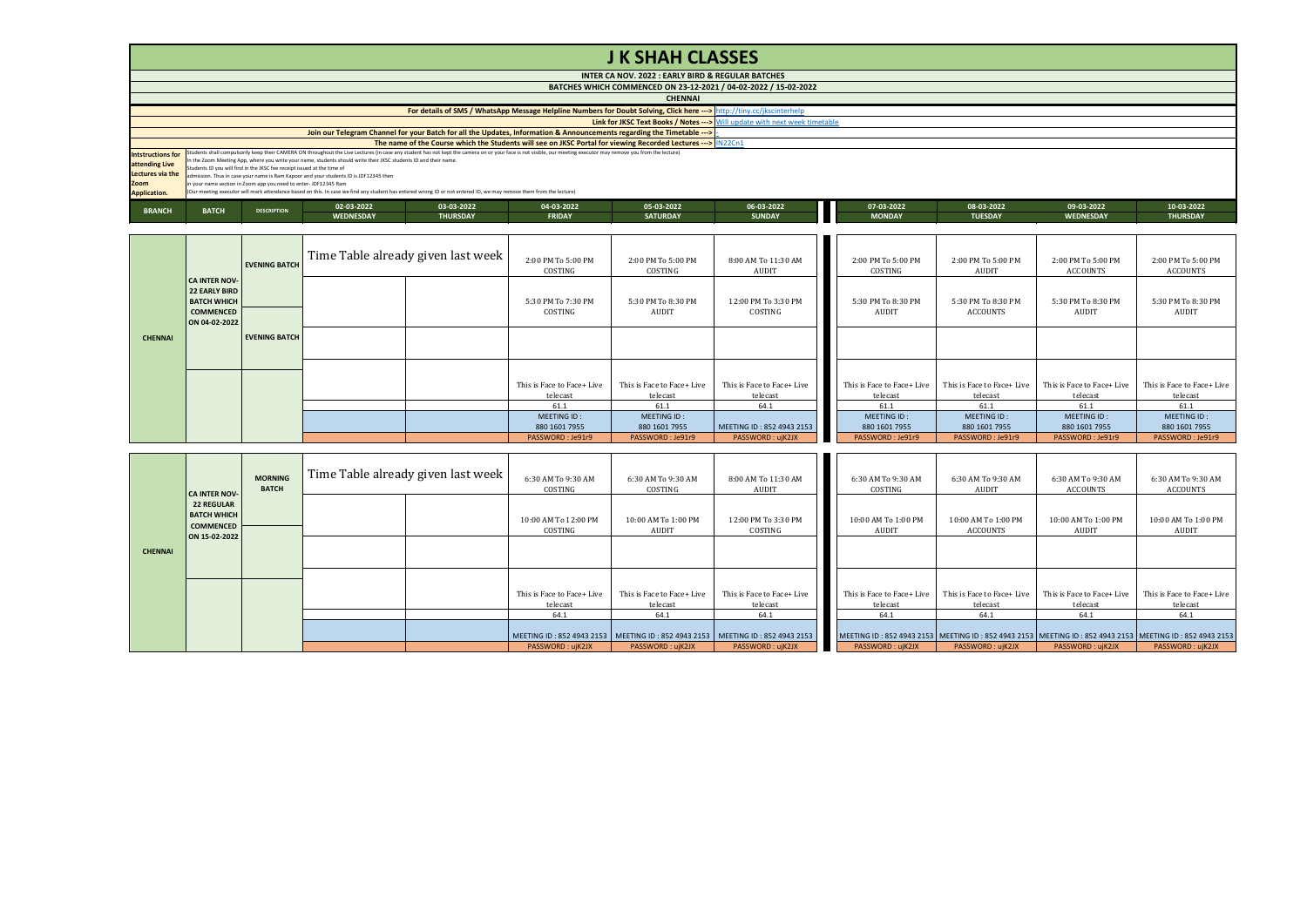|                                                                                        |                                                                                                                                                                                                                                                                                                                                                                                                                                                                                                                                                                                                                                                                                                                                                   |                      |                  |                                                                                                                        |                               | <b>JK SHAH CLASSES</b>                                                               |                                     |  |                               |                                       |                                       |                                       |
|----------------------------------------------------------------------------------------|---------------------------------------------------------------------------------------------------------------------------------------------------------------------------------------------------------------------------------------------------------------------------------------------------------------------------------------------------------------------------------------------------------------------------------------------------------------------------------------------------------------------------------------------------------------------------------------------------------------------------------------------------------------------------------------------------------------------------------------------------|----------------------|------------------|------------------------------------------------------------------------------------------------------------------------|-------------------------------|--------------------------------------------------------------------------------------|-------------------------------------|--|-------------------------------|---------------------------------------|---------------------------------------|---------------------------------------|
|                                                                                        |                                                                                                                                                                                                                                                                                                                                                                                                                                                                                                                                                                                                                                                                                                                                                   |                      |                  |                                                                                                                        |                               | INTER CA NOV. 2022 : EARLY BIRD & REGULAR BATCHES                                    |                                     |  |                               |                                       |                                       |                                       |
|                                                                                        |                                                                                                                                                                                                                                                                                                                                                                                                                                                                                                                                                                                                                                                                                                                                                   |                      |                  |                                                                                                                        |                               | BATCHES WHICH COMMENCED ON 23-12-2021 / 04-02-2022 / 15-02-2022                      |                                     |  |                               |                                       |                                       |                                       |
|                                                                                        |                                                                                                                                                                                                                                                                                                                                                                                                                                                                                                                                                                                                                                                                                                                                                   |                      |                  |                                                                                                                        |                               | <b>CHENNAI</b>                                                                       |                                     |  |                               |                                       |                                       |                                       |
|                                                                                        |                                                                                                                                                                                                                                                                                                                                                                                                                                                                                                                                                                                                                                                                                                                                                   |                      |                  | For details of SMS / WhatsApp Message Helpline Numbers for Doubt Solving, Click here ---> http://tiny.cc/jkscinterhelp |                               |                                                                                      |                                     |  |                               |                                       |                                       |                                       |
|                                                                                        |                                                                                                                                                                                                                                                                                                                                                                                                                                                                                                                                                                                                                                                                                                                                                   |                      |                  |                                                                                                                        |                               | <b>Link for JKSC Text Books / Notes ---&gt;</b> Will update with next week timetable |                                     |  |                               |                                       |                                       |                                       |
|                                                                                        |                                                                                                                                                                                                                                                                                                                                                                                                                                                                                                                                                                                                                                                                                                                                                   |                      |                  | Join our Telegram Channel for your Batch for all the Updates, Information & Announcements regarding the Timetable ---> |                               |                                                                                      |                                     |  |                               |                                       |                                       |                                       |
|                                                                                        |                                                                                                                                                                                                                                                                                                                                                                                                                                                                                                                                                                                                                                                                                                                                                   |                      |                  | The name of the Course which the Students will see on JKSC Portal for viewing Recorded Lectures --- >   IN22Cn1        |                               |                                                                                      |                                     |  |                               |                                       |                                       |                                       |
| <b>Intstructions for</b><br>attending Live<br>Lectures via the<br>Zoom<br>Application. | Students shall compulsorily keep their CAMERA ON throughout the Live Lectures (in case any student has not kept the camera on or your face is not visible, our meeting executor may remove you from the lecture)<br>In the Zoom Meeting App, where you write your name, students should write their JKSC students ID and their name.<br>Students ID you will find in the JKSC fee receipt issued at the time of<br>admission. Thus in case your name is Ram Kappor and your students ID is JDF12345 then<br>in your name section in Zoom app you need to enter-JDF12345 Ram<br>(Our meeting executor will mark attendance based on this. In case we find any student has entered wrong ID or not entered ID, we may remove them from the lecture) |                      |                  |                                                                                                                        |                               |                                                                                      |                                     |  |                               |                                       |                                       |                                       |
| <b>BRANCH</b>                                                                          | <b>BATCH</b>                                                                                                                                                                                                                                                                                                                                                                                                                                                                                                                                                                                                                                                                                                                                      | <b>DESCRIPTION</b>   | 02-03-2022       | 03-03-2022                                                                                                             | 04-03-2022                    | 05-03-2022                                                                           | 06-03-2022                          |  | 07-03-2022                    | 08-03-2022                            | 09-03-2022                            | 10-03-2022                            |
|                                                                                        |                                                                                                                                                                                                                                                                                                                                                                                                                                                                                                                                                                                                                                                                                                                                                   |                      | <b>WEDNESDAY</b> | <b>THURSDAY</b>                                                                                                        | <b>FRIDAY</b>                 | <b>SATURDAY</b>                                                                      | <b>SUNDAY</b>                       |  | <b>MONDAY</b>                 | <b>TUESDAY</b>                        | WEDNESDAY                             | <b>THURSDAY</b>                       |
|                                                                                        |                                                                                                                                                                                                                                                                                                                                                                                                                                                                                                                                                                                                                                                                                                                                                   | <b>EVENING BATCH</b> |                  | Time Table already given last week                                                                                     | 2:00 PM To 5:00 PM<br>COSTING | 2:00 PM To 5:00 PM<br>COSTING                                                        | 8:00 AM To 11:30 AM<br><b>AUDIT</b> |  | 2:00 PM To 5:00 PM<br>COSTING | 2:00 PM To 5:00 PM<br>AUDIT           | 2:00 PM To 5:00 PM<br><b>ACCOUNTS</b> | 2:00 PM To 5:00 PM<br><b>ACCOUNTS</b> |
|                                                                                        | <b>CA INTER NOV-</b><br><b>22 EARLY BIRD</b><br><b>BATCH WHICH</b><br><b>COMMENCED</b><br>ON 04-02-2022                                                                                                                                                                                                                                                                                                                                                                                                                                                                                                                                                                                                                                           |                      |                  |                                                                                                                        | 5:30 PM To 7:30 PM<br>COSTING | 5:30 PM To 8:30 PM<br>AUDIT                                                          | 12:00 PM To 3:30 PM<br>COSTING      |  | 5:30 PM To 8:30 PM<br>AUDIT   | 5:30 PM To 8:30 PM<br><b>ACCOUNTS</b> | 5:30 PM To 8:30 PM<br>AUDIT           | 5:30 PM To 8:30 PM<br><b>AUDIT</b>    |

| <b>CHENNAI</b> | <b>EVENING BATCH</b> |  |                                        |                                        |                                        |                                        |                                        |                                        |                                        |
|----------------|----------------------|--|----------------------------------------|----------------------------------------|----------------------------------------|----------------------------------------|----------------------------------------|----------------------------------------|----------------------------------------|
|                |                      |  |                                        |                                        |                                        |                                        |                                        |                                        |                                        |
|                |                      |  |                                        |                                        |                                        |                                        |                                        |                                        |                                        |
|                |                      |  | This is Face to Face+ Live<br>telecast | This is Face to Face+ Live<br>telecast | This is Face to Face+ Live<br>telecast | This is Face to Face+ Live<br>telecast | This is Face to Face+ Live<br>telecast | This is Face to Face+ Live<br>telecast | This is Face to Face+ Live<br>telecast |
|                |                      |  | 61.1                                   | 61.1                                   | 64.1                                   | 61.1                                   | 61.1                                   | 61.1                                   | 61.1                                   |
|                |                      |  | MEETING ID:                            | MEETING ID:                            |                                        | MEETING ID:                            | MEETING ID:                            | MEETING ID:                            | MEETING ID:                            |
|                |                      |  | 880 1601 7955                          | 880 1601 7955                          | MEETING ID: 852 4943 2153              | 880 1601 7955                          | 880 1601 7955                          | 880 1601 7955                          | 880 1601 7955                          |
|                |                      |  | PASSWORD: Je91r9                       | PASSWORD: Je91r9                       | PASSWORD: ujK2JX                       | PASSWORD: Je91r9                       | PASSWORD: Je91r9                       | PASSWORD: Je91r9                       | PASSWORD: Je91r9                       |

|                | <b>CA INTER NOV-</b>                                                         | <b>MORNING</b><br><b>BATCH</b> | Time Table already given last week | 6:30 AM To 9:30 AM<br>COSTING                                                     | 6:30 AM To 9:30 AM<br>COSTING          | 8:00 AM To 11:30 AM<br>AUDIT           | 6:30 AM To 9:30 AM<br>COSTING                                                                           | 6:30 AM To 9:30 AM<br>AUDIT            | 6:30 AM To 9:30 AM<br>ACCOUNTS         | 6:30 AM To 9:30 AM<br>ACCOUNTS         |
|----------------|------------------------------------------------------------------------------|--------------------------------|------------------------------------|-----------------------------------------------------------------------------------|----------------------------------------|----------------------------------------|---------------------------------------------------------------------------------------------------------|----------------------------------------|----------------------------------------|----------------------------------------|
|                | <b>22 REGULAR</b><br><b>BATCH WHICH</b><br><b>COMMENCED</b><br>ON 15-02-2022 |                                |                                    | 10:00 AM To 12:00 PM<br>COSTING                                                   | 10:00 AM To 1:00 PM<br>AUDIT           | 12:00 PM To 3:30 PM<br>COSTING         | 10:00 AM To 1:00 PM<br>AUDIT                                                                            | 10:00 AM To 1:00 PM<br><b>ACCOUNTS</b> | 10:00 AM To 1:00 PM<br>AUDIT           | 10:00 AM To 1:00 PM<br>AUDIT           |
| <b>CHENNAI</b> |                                                                              |                                |                                    |                                                                                   |                                        |                                        |                                                                                                         |                                        |                                        |                                        |
|                |                                                                              |                                |                                    | This is Face to Face+ Live<br>telecast                                            | This is Face to Face+ Live<br>telecast | This is Face to Face+ Live<br>telecast | This is Face to Face+ Live<br>telecast                                                                  | This is Face to Face+ Live<br>telecast | This is Face to Face+ Live<br>telecast | This is Face to Face+ Live<br>telecast |
|                |                                                                              |                                |                                    | 64.1                                                                              | 64.1                                   | 64.1                                   | 64.1                                                                                                    | 64.1                                   | 64.1                                   | 64.1                                   |
|                |                                                                              |                                |                                    | MEETING ID: 852 4943 2153   MEETING ID: 852 4943 2153   MEETING ID: 852 4943 2153 |                                        |                                        | MEETING ID: 852 4943 2153 MEETING ID: 852 4943 2153 MEETING ID: 852 4943 2153 MEETING ID: 852 4943 2153 |                                        |                                        |                                        |
|                |                                                                              |                                |                                    | PASSWORD: ujK2JX                                                                  | PASSWORD: ujK2JX                       | PASSWORD: ujK2JX                       | PASSWORD: ujK2JX                                                                                        | PASSWORD: ujK2JX                       | PASSWORD: uiK2JX                       | PASSWORD: ujK2JX                       |